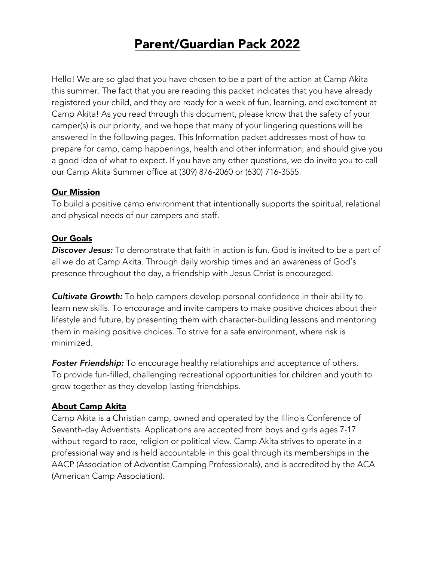# Parent/Guardian Pack 2022

Hello! We are so glad that you have chosen to be a part of the action at Camp Akita this summer. The fact that you are reading this packet indicates that you have already registered your child, and they are ready for a week of fun, learning, and excitement at Camp Akita! As you read through this document, please know that the safety of your camper(s) is our priority, and we hope that many of your lingering questions will be answered in the following pages. This Information packet addresses most of how to prepare for camp, camp happenings, health and other information, and should give you a good idea of what to expect. If you have any other questions, we do invite you to call our Camp Akita Summer office at (309) 876-2060 or (630) 716-3555.

#### Our Mission

To build a positive camp environment that intentionally supports the spiritual, relational and physical needs of our campers and staff.

#### Our Goals

*Discover Jesus:* To demonstrate that faith in action is fun. God is invited to be a part of all we do at Camp Akita. Through daily worship times and an awareness of God's presence throughout the day, a friendship with Jesus Christ is encouraged.

*Cultivate Growth:* To help campers develop personal confidence in their ability to learn new skills. To encourage and invite campers to make positive choices about their lifestyle and future, by presenting them with character-building lessons and mentoring them in making positive choices. To strive for a safe environment, where risk is minimized.

*Foster Friendship:* To encourage healthy relationships and acceptance of others. To provide fun-filled, challenging recreational opportunities for children and youth to grow together as they develop lasting friendships.

# About Camp Akita

Camp Akita is a Christian camp, owned and operated by the Illinois Conference of Seventh-day Adventists. Applications are accepted from boys and girls ages 7-17 without regard to race, religion or political view. Camp Akita strives to operate in a professional way and is held accountable in this goal through its memberships in the AACP (Association of Adventist Camping Professionals), and is accredited by the ACA (American Camp Association).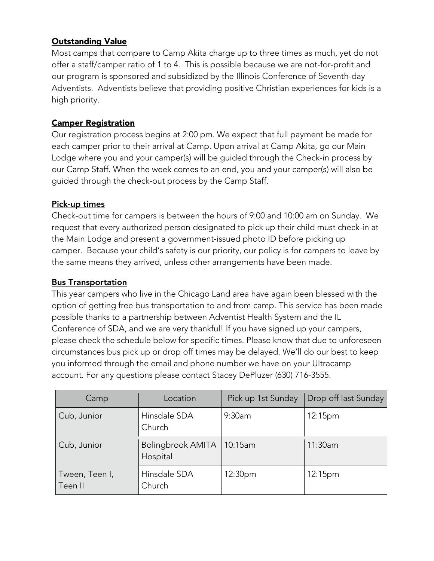# Outstanding Value

Most camps that compare to Camp Akita charge up to three times as much, yet do not offer a staff/camper ratio of 1 to 4. This is possible because we are not-for-profit and our program is sponsored and subsidized by the Illinois Conference of Seventh-day Adventists. Adventists believe that providing positive Christian experiences for kids is a high priority.

#### Camper Registration

Our registration process begins at 2:00 pm. We expect that full payment be made for each camper prior to their arrival at Camp. Upon arrival at Camp Akita, go our Main Lodge where you and your camper(s) will be guided through the Check-in process by our Camp Staff. When the week comes to an end, you and your camper(s) will also be guided through the check-out process by the Camp Staff.

#### Pick-up times

Check-out time for campers is between the hours of 9:00 and 10:00 am on Sunday. We request that every authorized person designated to pick up their child must check-in at the Main Lodge and present a government-issued photo ID before picking up camper. Because your child's safety is our priority, our policy is for campers to leave by the same means they arrived, unless other arrangements have been made.

#### Bus Transportation

This year campers who live in the Chicago Land area have again been blessed with the option of getting free bus transportation to and from camp. This service has been made possible thanks to a partnership between Adventist Health System and the IL Conference of SDA, and we are very thankful! If you have signed up your campers, please check the schedule below for specific times. Please know that due to unforeseen circumstances bus pick up or drop off times may be delayed. We'll do our best to keep you informed through the email and phone number we have on your Ultracamp account. For any questions please contact Stacey DePluzer (630) 716-3555.

| Camp                      | Location                      | Pick up 1st Sunday | Drop off last Sunday |
|---------------------------|-------------------------------|--------------------|----------------------|
| Cub, Junior               | Hinsdale SDA<br>Church        | 9:30am             | 12:15 <sub>pm</sub>  |
| Cub, Junior               | Bolingbrook AMITA<br>Hospital | 10:15am            | 11:30am              |
| Tween, Teen I,<br>Teen II | Hinsdale SDA<br>Church        | 12:30pm            | 12:15 <sub>pm</sub>  |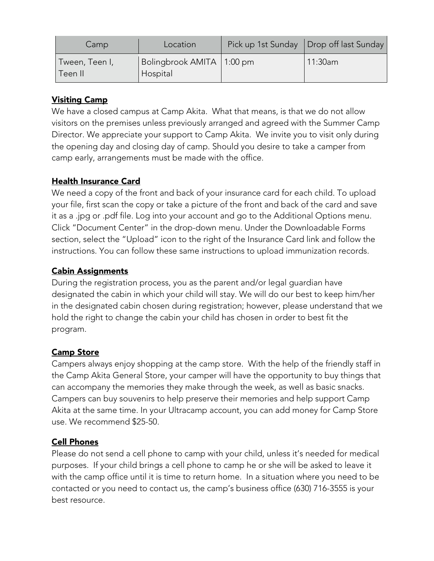| Camp                      | Location                                | Pick up 1st Sunday   Drop off last Sunday |
|---------------------------|-----------------------------------------|-------------------------------------------|
| Tween, Teen I,<br>Teen II | Bolingbrook AMITA   1:00 pm<br>Hospital | 11:30am                                   |

# Visiting Camp

We have a closed campus at Camp Akita. What that means, is that we do not allow visitors on the premises unless previously arranged and agreed with the Summer Camp Director. We appreciate your support to Camp Akita. We invite you to visit only during the opening day and closing day of camp. Should you desire to take a camper from camp early, arrangements must be made with the office.

# Health Insurance Card

We need a copy of the front and back of your insurance card for each child. To upload your file, first scan the copy or take a picture of the front and back of the card and save it as a .jpg or .pdf file. Log into your account and go to the Additional Options menu. Click "Document Center" in the drop-down menu. Under the Downloadable Forms section, select the "Upload" icon to the right of the Insurance Card link and follow the instructions. You can follow these same instructions to upload immunization records.

# Cabin Assignments

During the registration process, you as the parent and/or legal guardian have designated the cabin in which your child will stay. We will do our best to keep him/her in the designated cabin chosen during registration; however, please understand that we hold the right to change the cabin your child has chosen in order to best fit the program.

# Camp Store

Campers always enjoy shopping at the camp store. With the help of the friendly staff in the Camp Akita General Store, your camper will have the opportunity to buy things that can accompany the memories they make through the week, as well as basic snacks. Campers can buy souvenirs to help preserve their memories and help support Camp Akita at the same time. In your Ultracamp account, you can add money for Camp Store use. We recommend \$25-50.

# Cell Phones

Please do not send a cell phone to camp with your child, unless it's needed for medical purposes. If your child brings a cell phone to camp he or she will be asked to leave it with the camp office until it is time to return home. In a situation where you need to be contacted or you need to contact us, the camp's business office (630) 716-3555 is your best resource.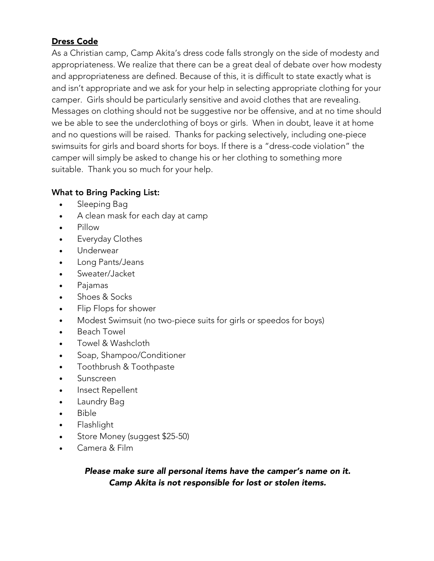# Dress Code

As a Christian camp, Camp Akita's dress code falls strongly on the side of modesty and appropriateness. We realize that there can be a great deal of debate over how modesty and appropriateness are defined. Because of this, it is difficult to state exactly what is and isn't appropriate and we ask for your help in selecting appropriate clothing for your camper. Girls should be particularly sensitive and avoid clothes that are revealing. Messages on clothing should not be suggestive nor be offensive, and at no time should we be able to see the underclothing of boys or girls. When in doubt, leave it at home and no questions will be raised. Thanks for packing selectively, including one-piece swimsuits for girls and board shorts for boys. If there is a "dress-code violation" the camper will simply be asked to change his or her clothing to something more suitable. Thank you so much for your help.

# What to Bring Packing List:

- Sleeping Bag
- A clean mask for each day at camp
- Pillow
- **Everyday Clothes**
- Underwear
- Long Pants/Jeans
- Sweater/Jacket
- Pajamas
- Shoes & Socks
- Flip Flops for shower
- Modest Swimsuit (no two-piece suits for girls or speedos for boys)
- Beach Towel
- Towel & Washcloth
- Soap, Shampoo/Conditioner
- Toothbrush & Toothpaste
- Sunscreen
- Insect Repellent
- Laundry Bag
- Bible
- Flashlight
- Store Money (suggest \$25-50)
- Camera & Film

*Please make sure all personal items have the camper's name on it. Camp Akita is not responsible for lost or stolen items.*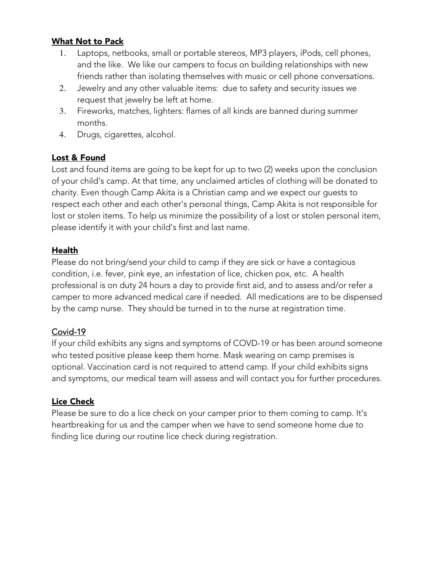#### What Not to Pack

- 1. Laptops, netbooks, small or portable stereos, MP3 players, iPods, cell phones, and the like. We like our campers to focus on building relationships with new friends rather than isolating themselves with music or cell phone conversations.
- 2. Jewelry and any other valuable items: due to safety and security issues we request that jewelry be left at home.
- 3. Fireworks, matches, lighters: flames of all kinds are banned during summer months.
- 4. Drugs, cigarettes, alcohol.

#### Lost & Found

Lost and found items are going to be kept for up to two (2) weeks upon the conclusion of your child's camp. At that time, any unclaimed articles of clothing will be donated to charity. Even though Camp Akita is a Christian camp and we expect our guests to respect each other and each other's personal things, Camp Akita is not responsible for lost or stolen items. To help us minimize the possibility of a lost or stolen personal item, please identify it with your child's first and last name.

#### Health

Please do not bring/send your child to camp if they are sick or have a contagious condition, i.e. fever, pink eye, an infestation of lice, chicken pox, etc. A health professional is on duty 24 hours a day to provide first aid, and to assess and/or refer a camper to more advanced medical care if needed. All medications are to be dispensed by the camp nurse. They should be turned in to the nurse at registration time.

# Covid-19

If your child exhibits any signs and symptoms of COVD-19 or has been around someone who tested positive please keep them home. Mask wearing on camp premises is optional. Vaccination card is not required to attend camp. If your child exhibits signs and symptoms, our medical team will assess and will contact you for further procedures.

# Lice Check

Please be sure to do a lice check on your camper prior to them coming to camp. It's heartbreaking for us and the camper when we have to send someone home due to finding lice during our routine lice check during registration.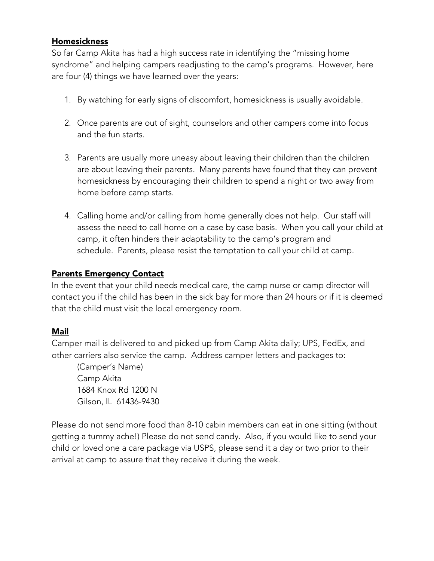#### Homesickness

So far Camp Akita has had a high success rate in identifying the "missing home syndrome" and helping campers readjusting to the camp's programs. However, here are four (4) things we have learned over the years:

- 1. By watching for early signs of discomfort, homesickness is usually avoidable.
- 2. Once parents are out of sight, counselors and other campers come into focus and the fun starts.
- 3. Parents are usually more uneasy about leaving their children than the children are about leaving their parents. Many parents have found that they can prevent homesickness by encouraging their children to spend a night or two away from home before camp starts.
- 4. Calling home and/or calling from home generally does not help. Our staff will assess the need to call home on a case by case basis. When you call your child at camp, it often hinders their adaptability to the camp's program and schedule. Parents, please resist the temptation to call your child at camp.

# Parents Emergency Contact

In the event that your child needs medical care, the camp nurse or camp director will contact you if the child has been in the sick bay for more than 24 hours or if it is deemed that the child must visit the local emergency room.

# Mail

Camper mail is delivered to and picked up from Camp Akita daily; UPS, FedEx, and other carriers also service the camp. Address camper letters and packages to:

(Camper's Name) Camp Akita 1684 Knox Rd 1200 N Gilson, IL 61436-9430

Please do not send more food than 8-10 cabin members can eat in one sitting (without getting a tummy ache!) Please do not send candy. Also, if you would like to send your child or loved one a care package via USPS, please send it a day or two prior to their arrival at camp to assure that they receive it during the week.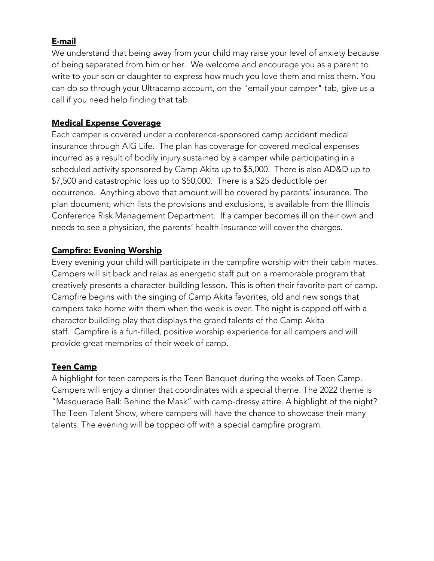## E-mail

We understand that being away from your child may raise your level of anxiety because of being separated from him or her. We welcome and encourage you as a parent to write to your son or daughter to express how much you love them and miss them. You can do so through your Ultracamp account, on the "email your camper" tab, give us a call if you need help finding that tab.

## Medical Expense Coverage

Each camper is covered under a conference-sponsored camp accident medical insurance through AIG Life. The plan has coverage for covered medical expenses incurred as a result of bodily injury sustained by a camper while participating in a scheduled activity sponsored by Camp Akita up to \$5,000. There is also AD&D up to \$7,500 and catastrophic loss up to \$50,000. There is a \$25 deductible per occurrence. Anything above that amount will be covered by parents' insurance. The plan document, which lists the provisions and exclusions, is available from the Illinois Conference Risk Management Department. If a camper becomes ill on their own and needs to see a physician, the parents' health insurance will cover the charges.

#### Campfire: Evening Worship

Every evening your child will participate in the campfire worship with their cabin mates. Campers will sit back and relax as energetic staff put on a memorable program that creatively presents a character-building lesson. This is often their favorite part of camp. Campfire begins with the singing of Camp Akita favorites, old and new songs that campers take home with them when the week is over. The night is capped off with a character building play that displays the grand talents of the Camp Akita staff. Campfire is a fun-filled, positive worship experience for all campers and will provide great memories of their week of camp.

# Teen Camp

A highlight for teen campers is the Teen Banquet during the weeks of Teen Camp. Campers will enjoy a dinner that coordinates with a special theme. The 2022 theme is "Masquerade Ball: Behind the Mask" with camp-dressy attire. A highlight of the night? The Teen Talent Show, where campers will have the chance to showcase their many talents. The evening will be topped off with a special campfire program.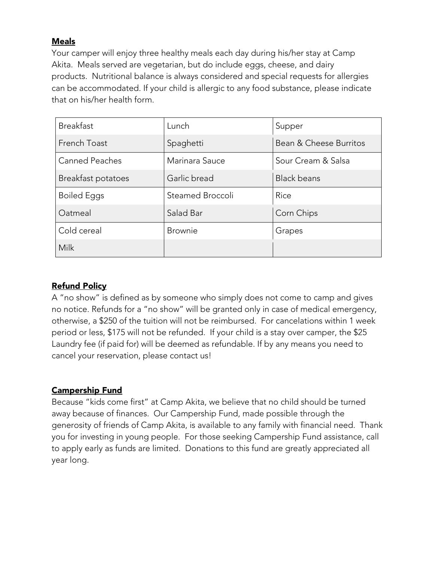## Meals

Your camper will enjoy three healthy meals each day during his/her stay at Camp Akita. Meals served are vegetarian, but do include eggs, cheese, and dairy products. Nutritional balance is always considered and special requests for allergies can be accommodated. If your child is allergic to any food substance, please indicate that on his/her health form.

| <b>Breakfast</b>      | Lunch            | Supper                 |
|-----------------------|------------------|------------------------|
| French Toast          | Spaghetti        | Bean & Cheese Burritos |
| <b>Canned Peaches</b> | Marinara Sauce   | Sour Cream & Salsa     |
| Breakfast potatoes    | Garlic bread     | <b>Black beans</b>     |
| <b>Boiled Eggs</b>    | Steamed Broccoli | Rice                   |
| Oatmeal               | Salad Bar        | Corn Chips             |
| Cold cereal           | <b>Brownie</b>   | Grapes                 |
| Milk                  |                  |                        |

# Refund Policy

A "no show" is defined as by someone who simply does not come to camp and gives no notice. Refunds for a "no show" will be granted only in case of medical emergency, otherwise, a \$250 of the tuition will not be reimbursed. For cancelations within 1 week period or less, \$175 will not be refunded. If your child is a stay over camper, the \$25 Laundry fee (if paid for) will be deemed as refundable. If by any means you need to cancel your reservation, please contact us!

# Campership Fund

Because "kids come first" at Camp Akita, we believe that no child should be turned away because of finances. Our Campership Fund, made possible through the generosity of friends of Camp Akita, is available to any family with financial need. Thank you for investing in young people. For those seeking Campership Fund assistance, call to apply early as funds are limited. Donations to this fund are greatly appreciated all year long.